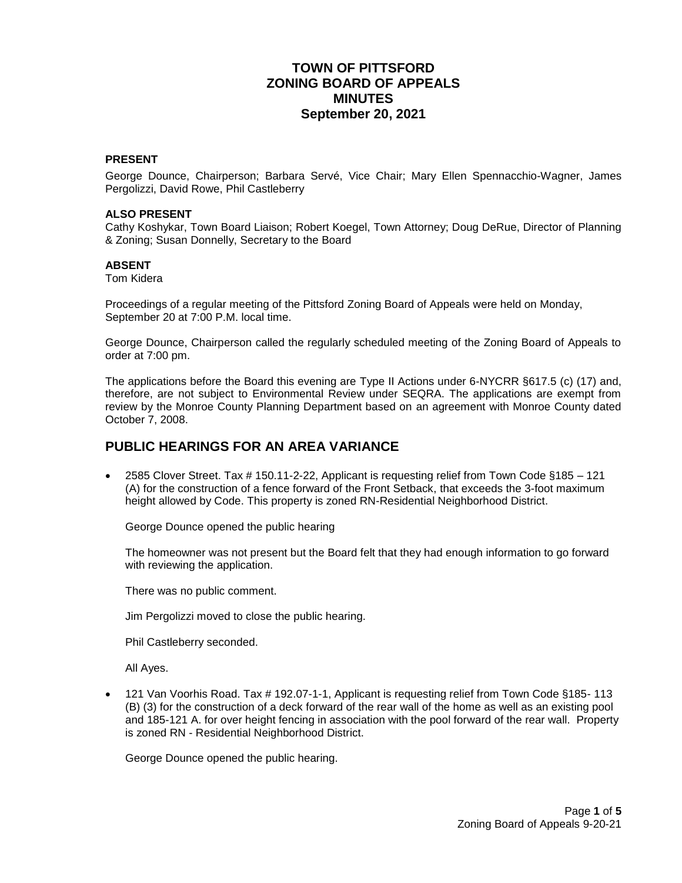# **TOWN OF PITTSFORD ZONING BOARD OF APPEALS MINUTES September 20, 2021**

#### **PRESENT**

George Dounce, Chairperson; Barbara Servé, Vice Chair; Mary Ellen Spennacchio-Wagner, James Pergolizzi, David Rowe, Phil Castleberry

#### **ALSO PRESENT**

Cathy Koshykar, Town Board Liaison; Robert Koegel, Town Attorney; Doug DeRue, Director of Planning & Zoning; Susan Donnelly, Secretary to the Board

#### **ABSENT**

Tom Kidera

Proceedings of a regular meeting of the Pittsford Zoning Board of Appeals were held on Monday, September 20 at 7:00 P.M. local time.

George Dounce, Chairperson called the regularly scheduled meeting of the Zoning Board of Appeals to order at 7:00 pm.

The applications before the Board this evening are Type II Actions under 6-NYCRR §617.5 (c) (17) and, therefore, are not subject to Environmental Review under SEQRA. The applications are exempt from review by the Monroe County Planning Department based on an agreement with Monroe County dated October 7, 2008.

## **PUBLIC HEARINGS FOR AN AREA VARIANCE**

 2585 Clover Street. Tax # 150.11-2-22, Applicant is requesting relief from Town Code §185 – 121 (A) for the construction of a fence forward of the Front Setback, that exceeds the 3-foot maximum height allowed by Code. This property is zoned RN-Residential Neighborhood District.

George Dounce opened the public hearing

The homeowner was not present but the Board felt that they had enough information to go forward with reviewing the application.

There was no public comment.

Jim Pergolizzi moved to close the public hearing.

Phil Castleberry seconded.

All Ayes.

 121 Van Voorhis Road. Tax # 192.07-1-1, Applicant is requesting relief from Town Code §185- 113 (B) (3) for the construction of a deck forward of the rear wall of the home as well as an existing pool and 185-121 A. for over height fencing in association with the pool forward of the rear wall. Property is zoned RN - Residential Neighborhood District.

George Dounce opened the public hearing.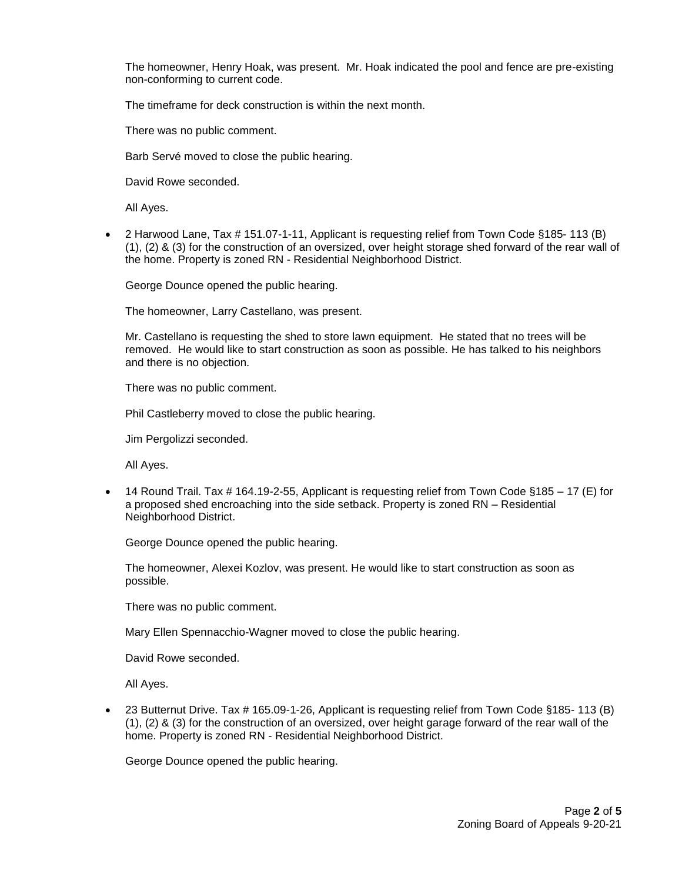The homeowner, Henry Hoak, was present. Mr. Hoak indicated the pool and fence are pre-existing non-conforming to current code.

The timeframe for deck construction is within the next month.

There was no public comment.

Barb Servé moved to close the public hearing.

David Rowe seconded.

All Ayes.

 2 Harwood Lane, Tax # 151.07-1-11, Applicant is requesting relief from Town Code §185- 113 (B) (1), (2) & (3) for the construction of an oversized, over height storage shed forward of the rear wall of the home. Property is zoned RN - Residential Neighborhood District.

George Dounce opened the public hearing.

The homeowner, Larry Castellano, was present.

Mr. Castellano is requesting the shed to store lawn equipment. He stated that no trees will be removed. He would like to start construction as soon as possible. He has talked to his neighbors and there is no objection.

There was no public comment.

Phil Castleberry moved to close the public hearing.

Jim Pergolizzi seconded.

All Ayes.

 14 Round Trail. Tax # 164.19-2-55, Applicant is requesting relief from Town Code §185 – 17 (E) for a proposed shed encroaching into the side setback. Property is zoned RN – Residential Neighborhood District.

George Dounce opened the public hearing.

The homeowner, Alexei Kozlov, was present. He would like to start construction as soon as possible.

There was no public comment.

Mary Ellen Spennacchio-Wagner moved to close the public hearing.

David Rowe seconded.

All Ayes.

■ 23 Butternut Drive. Tax # 165.09-1-26, Applicant is requesting relief from Town Code §185- 113 (B) (1), (2) & (3) for the construction of an oversized, over height garage forward of the rear wall of the home. Property is zoned RN - Residential Neighborhood District.

George Dounce opened the public hearing.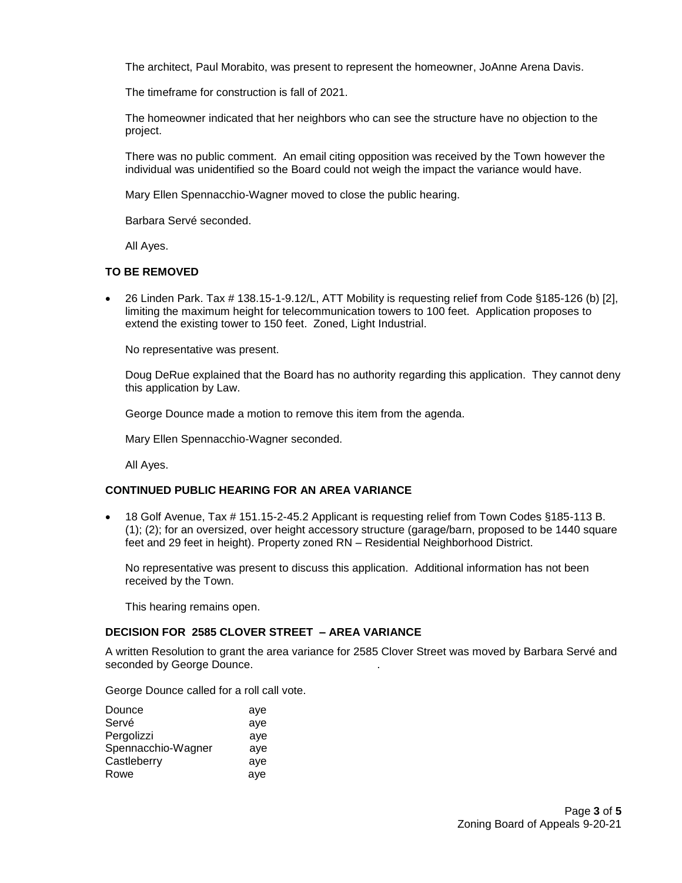The architect, Paul Morabito, was present to represent the homeowner, JoAnne Arena Davis.

The timeframe for construction is fall of 2021.

The homeowner indicated that her neighbors who can see the structure have no objection to the project.

There was no public comment. An email citing opposition was received by the Town however the individual was unidentified so the Board could not weigh the impact the variance would have.

Mary Ellen Spennacchio-Wagner moved to close the public hearing.

Barbara Servé seconded.

All Ayes.

#### **TO BE REMOVED**

 26 Linden Park. Tax # 138.15-1-9.12/L, ATT Mobility is requesting relief from Code §185-126 (b) [2], limiting the maximum height for telecommunication towers to 100 feet. Application proposes to extend the existing tower to 150 feet. Zoned, Light Industrial.

No representative was present.

Doug DeRue explained that the Board has no authority regarding this application. They cannot deny this application by Law.

George Dounce made a motion to remove this item from the agenda.

Mary Ellen Spennacchio-Wagner seconded.

All Ayes.

### **CONTINUED PUBLIC HEARING FOR AN AREA VARIANCE**

 18 Golf Avenue, Tax # 151.15-2-45.2 Applicant is requesting relief from Town Codes §185-113 B. (1); (2); for an oversized, over height accessory structure (garage/barn, proposed to be 1440 square feet and 29 feet in height). Property zoned RN – Residential Neighborhood District.

No representative was present to discuss this application. Additional information has not been received by the Town.

This hearing remains open.

### **DECISION FOR 2585 CLOVER STREET – AREA VARIANCE**

A written Resolution to grant the area variance for 2585 Clover Street was moved by Barbara Servé and seconded by George Dounce.

George Dounce called for a roll call vote.

| Dounce             | aye |
|--------------------|-----|
| Servé              | aye |
| Pergolizzi         | ave |
| Spennacchio-Wagner | aye |
| Castleberry        | aye |
| Rowe               | aye |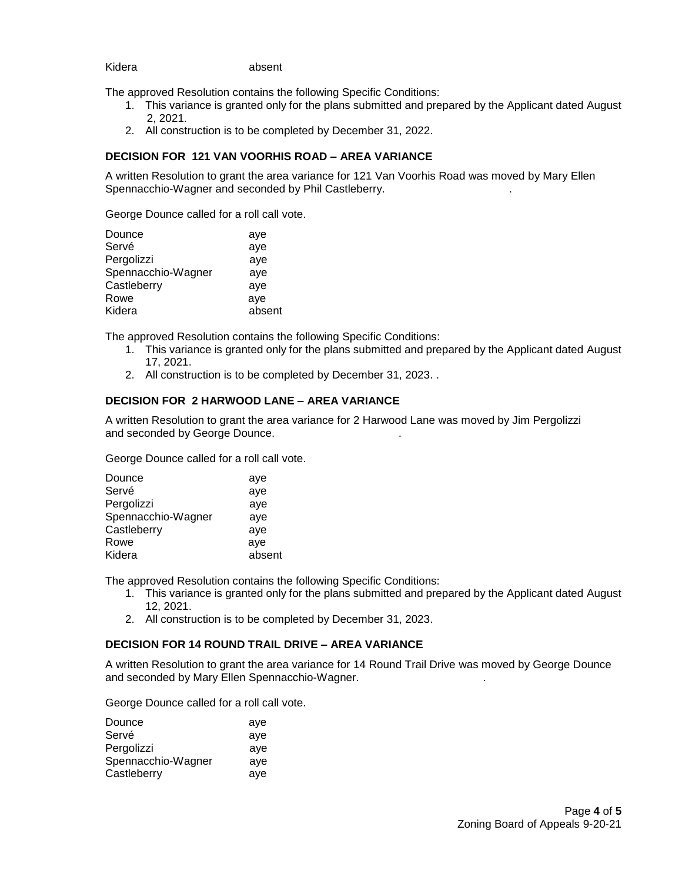### Kidera **absent**

The approved Resolution contains the following Specific Conditions:

- 1. This variance is granted only for the plans submitted and prepared by the Applicant dated August 2, 2021.
- 2. All construction is to be completed by December 31, 2022.

#### **DECISION FOR 121 VAN VOORHIS ROAD – AREA VARIANCE**

A written Resolution to grant the area variance for 121 Van Voorhis Road was moved by Mary Ellen Spennacchio-Wagner and seconded by Phil Castleberry. .

George Dounce called for a roll call vote.

| Dounce             | aye    |
|--------------------|--------|
| Servé              | aye    |
| Pergolizzi         | aye    |
| Spennacchio-Wagner | aye    |
| Castleberry        | aye    |
| Rowe               | aye    |
| Kidera             | absent |
|                    |        |

The approved Resolution contains the following Specific Conditions:

- 1. This variance is granted only for the plans submitted and prepared by the Applicant dated August 17, 2021.
- 2. All construction is to be completed by December 31, 2023. .

#### **DECISION FOR 2 HARWOOD LANE – AREA VARIANCE**

A written Resolution to grant the area variance for 2 Harwood Lane was moved by Jim Pergolizzi and seconded by George Dounce. .

George Dounce called for a roll call vote.

| Dounce             | aye    |
|--------------------|--------|
| Servé              | aye    |
| Pergolizzi         | aye    |
| Spennacchio-Wagner | aye    |
| Castleberry        | aye    |
| Rowe               | aye    |
| Kidera             | absent |
|                    |        |

The approved Resolution contains the following Specific Conditions:

- 1. This variance is granted only for the plans submitted and prepared by the Applicant dated August 12, 2021.
- 2. All construction is to be completed by December 31, 2023.

### **DECISION FOR 14 ROUND TRAIL DRIVE – AREA VARIANCE**

A written Resolution to grant the area variance for 14 Round Trail Drive was moved by George Dounce and seconded by Mary Ellen Spennacchio-Wagner. .

George Dounce called for a roll call vote.

| Dounce             | ave |
|--------------------|-----|
| Servé              | aye |
| Pergolizzi         | ave |
| Spennacchio-Wagner | ave |
| Castleberry        | ave |